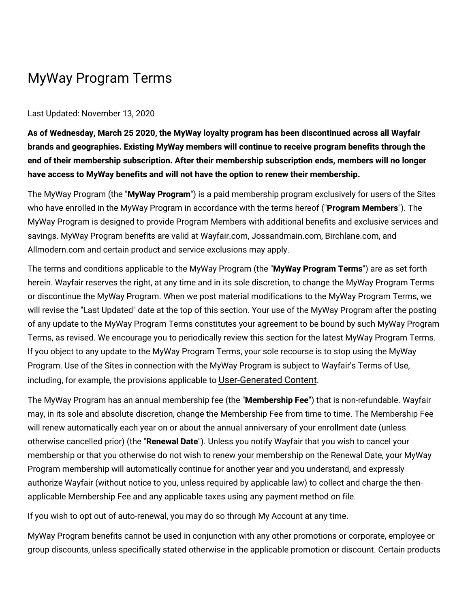## MyWay Program Terms

## Last Updated: November 13, 2020

**As of Wednesday, March 25 2020, the MyWay loyalty program has been discontinued across all Wayfair brands and geographies. Existing MyWay members will continue to receive program benefits through the end of their membership subscription. After their membership subscription ends, members will no longer have access to MyWay benefits and will not have the option to renew their membership.**

The MyWay Program (the "**MyWay Program**") is a paid membership program exclusively for users of the Sites who have enrolled in the MyWay Program in accordance with the terms hereof ("**Program Members**"). The MyWay Program is designed to provide Program Members with additional benefits and exclusive services and savings. MyWay Program benefits are valid at Wayfair.com, Jossandmain.com, Birchlane.com, and Allmodern.com and certain product and service exclusions may apply.

The terms and conditions applicable to the MyWay Program (the "**MyWay Program Terms**") are as set forth herein. Wayfair reserves the right, at any time and in its sole discretion, to change the MyWay Program Terms or discontinue the MyWay Program. When we post material modifications to the MyWay Program Terms, we will revise the "Last Updated" date at the top of this section. Your use of the MyWay Program after the posting of any update to the MyWay Program Terms constitutes your agreement to be bound by such MyWay Program Terms, as revised. We encourage you to periodically review this section for the latest MyWay Program Terms. If you object to any update to the MyWay Program Terms, your sole recourse is to stop using the MyWay Program. Use of the Sites in connection with the MyWay Program is subject to Wayfair's Terms of Use, including, for example, the provisions applicable to [User-Generated](https://terms.wayfair.io/en-US#terms-usergenerated) Content.

The MyWay Program has an annual membership fee (the "**Membership Fee**") that is non-refundable. Wayfair may, in its sole and absolute discretion, change the Membership Fee from time to time. The Membership Fee will renew automatically each year on or about the annual anniversary of your enrollment date (unless otherwise cancelled prior) (the "**Renewal Date**"). Unless you notify Wayfair that you wish to cancel your membership or that you otherwise do not wish to renew your membership on the Renewal Date, your MyWay Program membership will automatically continue for another year and you understand, and expressly authorize Wayfair (without notice to you, unless required by applicable law) to collect and charge the thenapplicable Membership Fee and any applicable taxes using any payment method on file.

If you wish to opt out of auto-renewal, you may do so through My Account at any time.

MyWay Program benefits cannot be used in conjunction with any other promotions or corporate, employee or group discounts, unless specifically stated otherwise in the applicable promotion or discount. Certain products